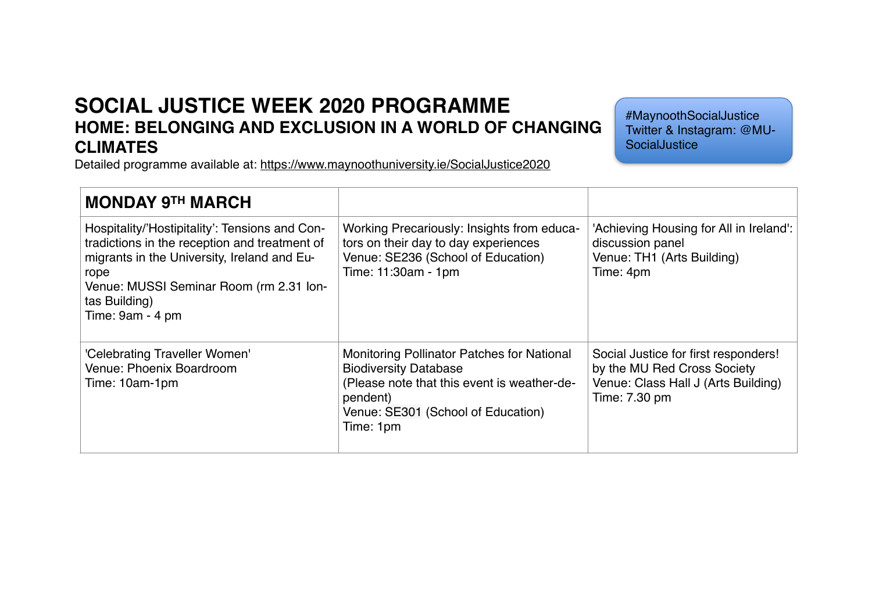## **SOCIAL JUSTICE WEEK 2020 PROGRAMME HOME: BELONGING AND EXCLUSION IN A WORLD OF CHANGING CLIMATES**

#MaynoothSocialJustice Twitter & Instagram: @MU-**SocialJustice** 

Detailed programme available at:<https://www.maynoothuniversity.ie/SocialJustice2020>

| <b>MONDAY 9TH MARCH</b>                                                                                                                                                                                                                |                                                                                                                                                                                          |                                                                                                                             |
|----------------------------------------------------------------------------------------------------------------------------------------------------------------------------------------------------------------------------------------|------------------------------------------------------------------------------------------------------------------------------------------------------------------------------------------|-----------------------------------------------------------------------------------------------------------------------------|
| Hospitality/'Hostipitality': Tensions and Con-<br>tradictions in the reception and treatment of<br>migrants in the University, Ireland and Eu-<br>rope<br>Venue: MUSSI Seminar Room (rm 2.31 Ion-<br>tas Building)<br>Time: 9am - 4 pm | Working Precariously: Insights from educa-<br>tors on their day to day experiences<br>Venue: SE236 (School of Education)<br>Time: 11:30am - 1pm                                          | 'Achieving Housing for All in Ireland':<br>discussion panel<br>Venue: TH1 (Arts Building)<br>Time: 4pm                      |
| 'Celebrating Traveller Women'<br>Venue: Phoenix Boardroom<br>Time: 10am-1pm                                                                                                                                                            | Monitoring Pollinator Patches for National<br><b>Biodiversity Database</b><br>(Please note that this event is weather-de-<br>pendent)<br>Venue: SE301 (School of Education)<br>Time: 1pm | Social Justice for first responders!<br>by the MU Red Cross Society<br>Venue: Class Hall J (Arts Building)<br>Time: 7.30 pm |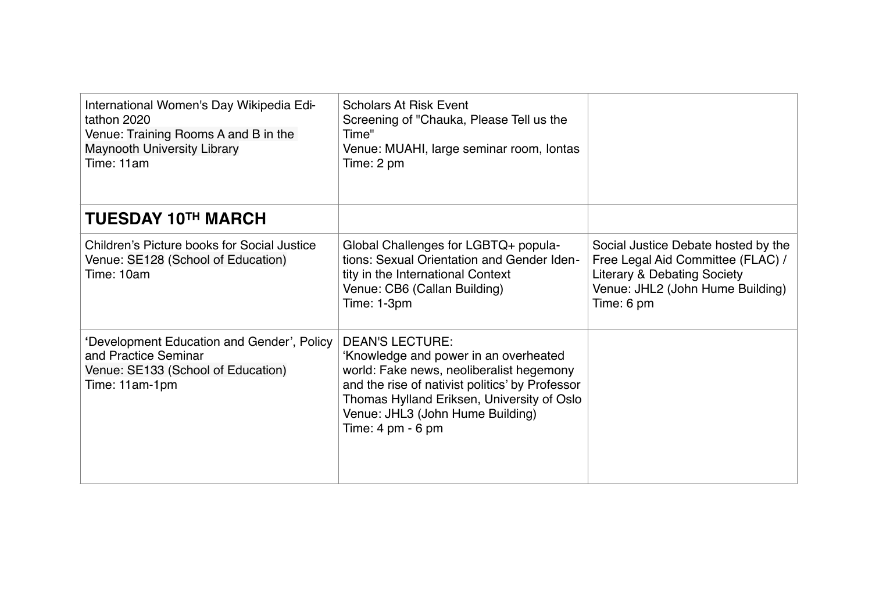| International Women's Day Wikipedia Edi-<br>tathon 2020<br>Venue: Training Rooms A and B in the<br><b>Maynooth University Library</b><br>Time: 11am | <b>Scholars At Risk Event</b><br>Screening of "Chauka, Please Tell us the<br>Time"<br>Venue: MUAHI, large seminar room, lontas<br>Time: 2 pm                                                                                                                                                |                                                                                                                                                                      |
|-----------------------------------------------------------------------------------------------------------------------------------------------------|---------------------------------------------------------------------------------------------------------------------------------------------------------------------------------------------------------------------------------------------------------------------------------------------|----------------------------------------------------------------------------------------------------------------------------------------------------------------------|
| <b>TUESDAY 10TH MARCH</b>                                                                                                                           |                                                                                                                                                                                                                                                                                             |                                                                                                                                                                      |
| Children's Picture books for Social Justice<br>Venue: SE128 (School of Education)<br>Time: 10am                                                     | Global Challenges for LGBTQ+ popula-<br>tions: Sexual Orientation and Gender Iden-<br>tity in the International Context<br>Venue: CB6 (Callan Building)<br>Time: 1-3pm                                                                                                                      | Social Justice Debate hosted by the<br>Free Legal Aid Committee (FLAC) /<br><b>Literary &amp; Debating Society</b><br>Venue: JHL2 (John Hume Building)<br>Time: 6 pm |
| 'Development Education and Gender', Policy<br>and Practice Seminar<br>Venue: SE133 (School of Education)<br>Time: 11am-1pm                          | <b>DEAN'S LECTURE:</b><br>'Knowledge and power in an overheated<br>world: Fake news, neoliberalist hegemony<br>and the rise of nativist politics' by Professor<br>Thomas Hylland Eriksen, University of Oslo<br>Venue: JHL3 (John Hume Building)<br>Time: $4 \text{ pm} \cdot 6 \text{ pm}$ |                                                                                                                                                                      |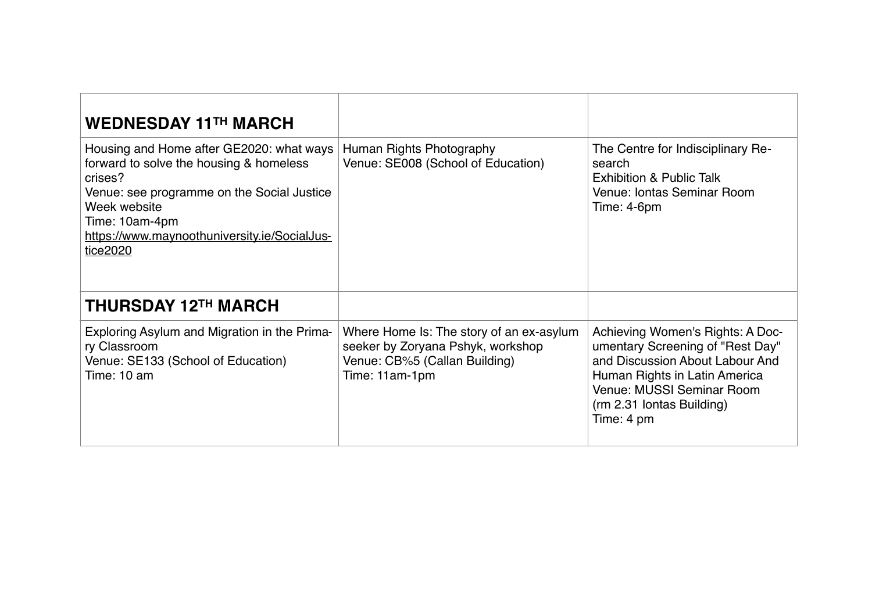| <b>WEDNESDAY 11TH MARCH</b>                                                                                                                                                                                                                |                                                                                                                                  |                                                                                                                                                                                                                  |
|--------------------------------------------------------------------------------------------------------------------------------------------------------------------------------------------------------------------------------------------|----------------------------------------------------------------------------------------------------------------------------------|------------------------------------------------------------------------------------------------------------------------------------------------------------------------------------------------------------------|
| Housing and Home after GE2020: what ways<br>forward to solve the housing & homeless<br>crises?<br>Venue: see programme on the Social Justice<br>Week website<br>Time: 10am-4pm<br>https://www.maynoothuniversity.ie/SocialJus-<br>tice2020 | Human Rights Photography<br>Venue: SE008 (School of Education)                                                                   | The Centre for Indisciplinary Re-<br>search<br><b>Exhibition &amp; Public Talk</b><br>Venue: Iontas Seminar Room<br>Time: 4-6pm                                                                                  |
| <b>THURSDAY 12TH MARCH</b>                                                                                                                                                                                                                 |                                                                                                                                  |                                                                                                                                                                                                                  |
| Exploring Asylum and Migration in the Prima-<br>ry Classroom<br>Venue: SE133 (School of Education)<br>Time: 10 am                                                                                                                          | Where Home Is: The story of an ex-asylum<br>seeker by Zoryana Pshyk, workshop<br>Venue: CB%5 (Callan Building)<br>Time: 11am-1pm | Achieving Women's Rights: A Doc-<br>umentary Screening of "Rest Day"<br>and Discussion About Labour And<br>Human Rights in Latin America<br>Venue: MUSSI Seminar Room<br>(rm 2.31 lontas Building)<br>Time: 4 pm |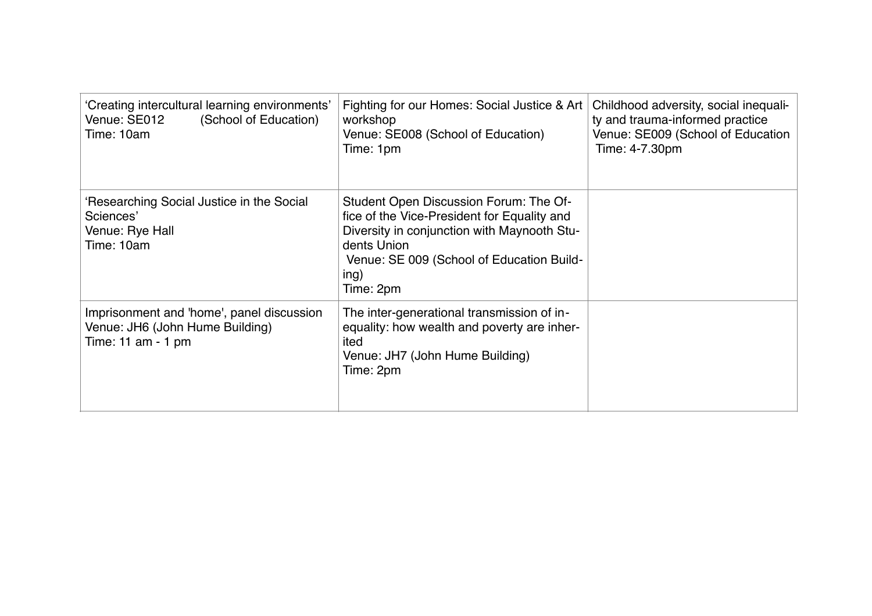| 'Creating intercultural learning environments'<br>Venue: SE012<br>(School of Education)<br>Time: 10am  | Fighting for our Homes: Social Justice & Art<br>workshop<br>Venue: SE008 (School of Education)<br>Time: 1pm                                                                                                           | Childhood adversity, social inequali-<br>ty and trauma-informed practice<br>Venue: SE009 (School of Education<br>Time: 4-7.30pm |
|--------------------------------------------------------------------------------------------------------|-----------------------------------------------------------------------------------------------------------------------------------------------------------------------------------------------------------------------|---------------------------------------------------------------------------------------------------------------------------------|
| 'Researching Social Justice in the Social<br>Sciences'<br>Venue: Rye Hall<br>Time: 10am                | Student Open Discussion Forum: The Of-<br>fice of the Vice-President for Equality and<br>Diversity in conjunction with Maynooth Stu-<br>dents Union<br>Venue: SE 009 (School of Education Build-<br>ing)<br>Time: 2pm |                                                                                                                                 |
| Imprisonment and 'home', panel discussion<br>Venue: JH6 (John Hume Building)<br>Time: $11$ am - $1$ pm | The inter-generational transmission of in-<br>equality: how wealth and poverty are inher-<br>ited<br>Venue: JH7 (John Hume Building)<br>Time: 2pm                                                                     |                                                                                                                                 |